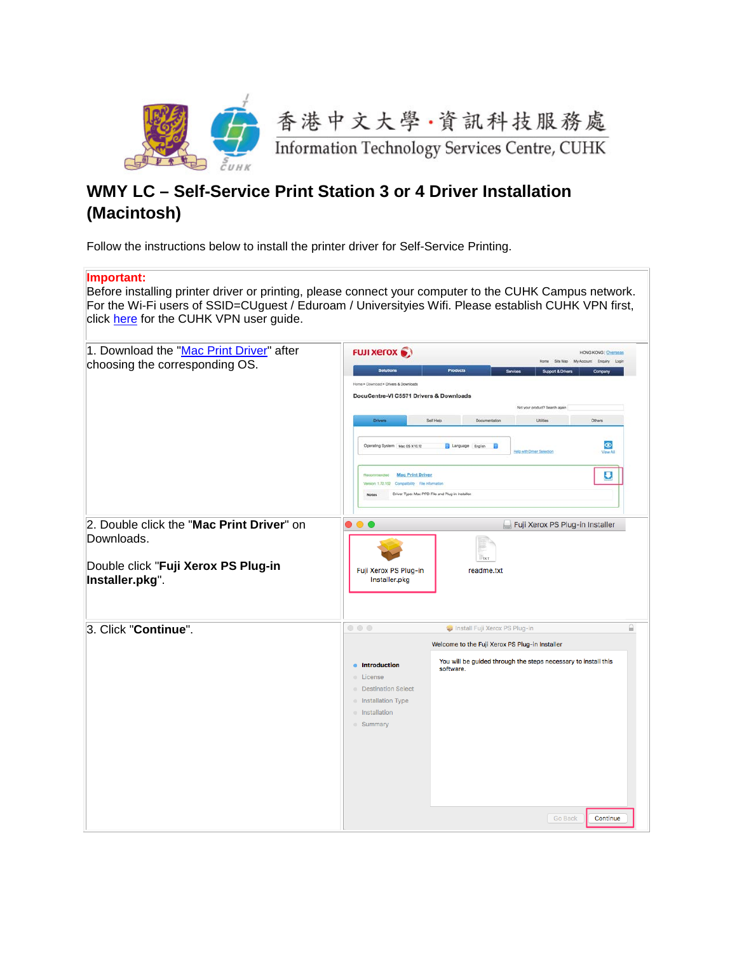

## **WMY LC – Self-Service Print Station 3 or 4 Driver Installation (Macintosh)**

Follow the instructions below to install the printer driver for Self-Service Printing.

## **Important:**

Before installing printer driver or printing, please connect your computer to the CUHK Campus network. For the Wi-Fi users of SSID=CUguest / Eduroam / Universityies Wifi. Please establish CUHK VPN first, click [here](http://www.itsc.cuhk.edu.hk/en-gb/all-it/wifi-and-network/cuhk-vpn) for the CUHK VPN user guide.

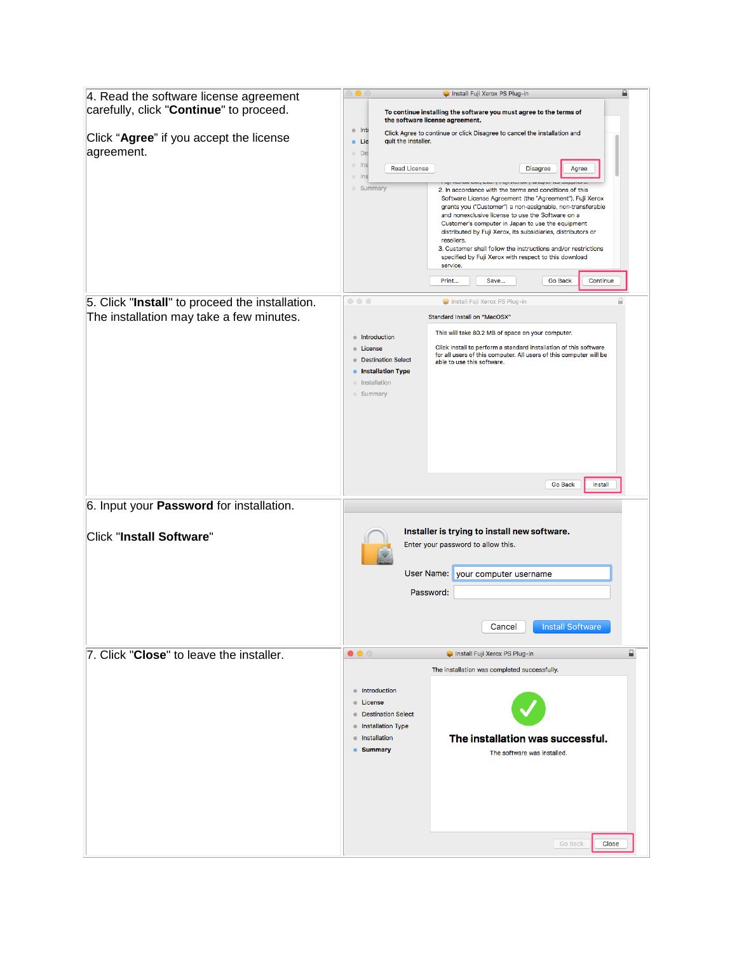| 4. Read the software license agreement<br>carefully, click "Continue" to proceed. | Install Fuji Xerox PS Plug-in<br>To continue installing the software you must agree to the terms of<br>the software license agreement.                                                                                                                                                                                                                                                                                                                                                                                                                              |
|-----------------------------------------------------------------------------------|---------------------------------------------------------------------------------------------------------------------------------------------------------------------------------------------------------------------------------------------------------------------------------------------------------------------------------------------------------------------------------------------------------------------------------------------------------------------------------------------------------------------------------------------------------------------|
| Click "Agree" if you accept the license<br>agreement.                             | $\bullet$ Inti<br>Click Agree to continue or click Disagree to cancel the installation and<br>· Lic<br>quit the Installer.<br>· De<br>$\circ$ Ins<br><b>Read License</b><br><b>Disagree</b><br>Agree<br>Ins<br>$\blacksquare$                                                                                                                                                                                                                                                                                                                                       |
|                                                                                   | $\mathcal{L}$ and $\mathcal{L}$<br><b>Summary</b><br>2. In accordance with the terms and conditions of this<br>Software License Agreement (the "Agreement"), Fuji Xerox<br>grants you ("Customer") a non-assignable, non-transferable<br>and nonexclusive license to use the Software on a<br>Customer's computer in Japan to use the equipment<br>distributed by Fuji Xerox, its subsidiaries, distributors or<br>resellers.<br>3. Customer shall follow the instructions and/or restrictions<br>specified by Fuji Xerox with respect to this download<br>service. |
|                                                                                   | Print<br><b>Go Back</b><br>Continue<br>Save                                                                                                                                                                                                                                                                                                                                                                                                                                                                                                                         |
| 5. Click "Install" to proceed the installation.                                   | $\circ\circ\circ$<br>Install Fuji Xerox PS Plug-in                                                                                                                                                                                                                                                                                                                                                                                                                                                                                                                  |
| The installation may take a few minutes.                                          | Standard Install on "MacOSX"                                                                                                                                                                                                                                                                                                                                                                                                                                                                                                                                        |
|                                                                                   | This will take 80.2 MB of space on your computer.<br>Introduction<br>Click Install to perform a standard installation of this software<br><b>License</b><br>for all users of this computer. All users of this computer will be<br><b>Destination Select</b><br>able to use this software.<br><b>Installation Type</b><br>lnstallation<br><b>Summary</b>                                                                                                                                                                                                             |
| 6. Input your Password for installation.                                          | Go Back<br>Install                                                                                                                                                                                                                                                                                                                                                                                                                                                                                                                                                  |
|                                                                                   | Installer is trying to install new software.                                                                                                                                                                                                                                                                                                                                                                                                                                                                                                                        |
| Click "Install Software"                                                          | Enter your password to allow this.                                                                                                                                                                                                                                                                                                                                                                                                                                                                                                                                  |
|                                                                                   | User Name: your computer username                                                                                                                                                                                                                                                                                                                                                                                                                                                                                                                                   |
|                                                                                   | Password:                                                                                                                                                                                                                                                                                                                                                                                                                                                                                                                                                           |
|                                                                                   | Cancel<br><b>Install Software</b>                                                                                                                                                                                                                                                                                                                                                                                                                                                                                                                                   |
| 7. Click "Close" to leave the installer.                                          | ≙<br>$\bullet\bullet\circ$<br>Install Fuji Xerox PS Plug-in                                                                                                                                                                                                                                                                                                                                                                                                                                                                                                         |
|                                                                                   | The installation was completed successfully.<br>• Introduction<br><b>Elicense</b>                                                                                                                                                                                                                                                                                                                                                                                                                                                                                   |
|                                                                                   | <b>Destination Select</b><br>lnstallation Type<br>The installation was successful.<br><b>Installation</b>                                                                                                                                                                                                                                                                                                                                                                                                                                                           |
|                                                                                   | <b>Summary</b><br>The software was installed.<br>Go Back<br>Close                                                                                                                                                                                                                                                                                                                                                                                                                                                                                                   |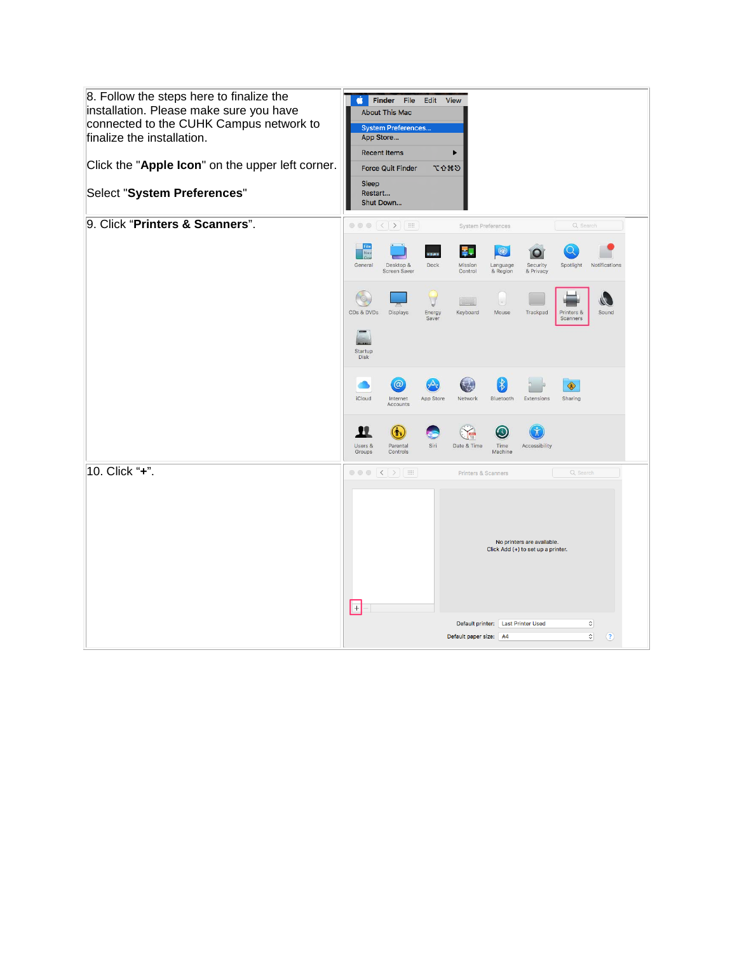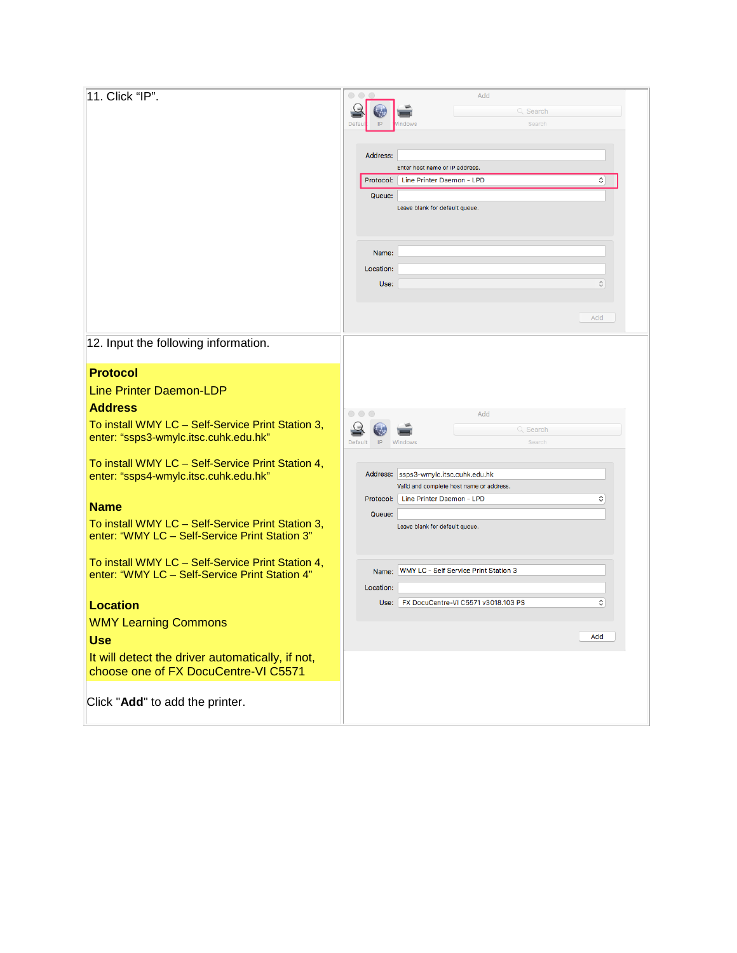|                                                   |                                       | 0<br>Add                                                    |               |  |
|---------------------------------------------------|---------------------------------------|-------------------------------------------------------------|---------------|--|
| 11. Click "IP".                                   |                                       | Q Search                                                    |               |  |
|                                                   | IP<br>Defau<br>ndows                  | Search                                                      |               |  |
|                                                   |                                       |                                                             |               |  |
|                                                   |                                       |                                                             |               |  |
|                                                   | Address:                              |                                                             |               |  |
|                                                   |                                       | Enter host name or IP address.<br>Line Printer Daemon - LPD |               |  |
|                                                   | Protocol:                             |                                                             | ≎             |  |
|                                                   | Queue:                                |                                                             |               |  |
|                                                   |                                       | Leave blank for default queue.                              |               |  |
|                                                   |                                       |                                                             |               |  |
|                                                   |                                       |                                                             |               |  |
|                                                   | Name:                                 |                                                             |               |  |
|                                                   | Location:                             |                                                             |               |  |
|                                                   | Use:                                  |                                                             | $\hat{\cdot}$ |  |
|                                                   |                                       |                                                             |               |  |
|                                                   |                                       |                                                             |               |  |
|                                                   |                                       | Add                                                         |               |  |
|                                                   |                                       |                                                             |               |  |
| 12. Input the following information.              |                                       |                                                             |               |  |
|                                                   |                                       |                                                             |               |  |
| <b>Protocol</b>                                   |                                       |                                                             |               |  |
| <b>Line Printer Daemon-LDP</b>                    |                                       |                                                             |               |  |
|                                                   |                                       |                                                             |               |  |
| <b>Address</b>                                    | $\circ \circ \circ$                   | Add                                                         |               |  |
| To install WMY LC - Self-Service Print Station 3, |                                       | Q Search                                                    |               |  |
| enter: "ssps3-wmylc.itsc.cuhk.edu.hk"             |                                       |                                                             |               |  |
|                                                   |                                       |                                                             |               |  |
|                                                   | IP<br>Default<br>Windows              | Searcl                                                      |               |  |
| To install WMY LC - Self-Service Print Station 4, |                                       |                                                             |               |  |
| enter: "ssps4-wmylc.itsc.cuhk.edu.hk"             | Address: ssps3-wmylc.itsc.cuhk.edu.hk |                                                             |               |  |
|                                                   |                                       | Valid and complete host name or address.                    |               |  |
| <b>Name</b>                                       | Protocol:                             | Line Printer Daemon - LPD                                   | ≎             |  |
|                                                   | Queue:                                |                                                             |               |  |
| To install WMY LC - Self-Service Print Station 3, |                                       | Leave blank for default queue.                              |               |  |
| enter: "WMY LC - Self-Service Print Station 3"    |                                       |                                                             |               |  |
|                                                   |                                       |                                                             |               |  |
| To install WMY LC - Self-Service Print Station 4, | Name:                                 | <b>WMY LC - Self Service Print Station 3</b>                |               |  |
| enter: "WMY LC - Self-Service Print Station 4"    | Location:                             |                                                             |               |  |
|                                                   |                                       |                                                             |               |  |
| <b>Location</b>                                   | Use:                                  | FX DocuCentre-VI C5571 v3018.103 PS                         | ≎             |  |
| <b>WMY Learning Commons</b>                       |                                       |                                                             |               |  |
|                                                   |                                       | Add                                                         |               |  |
| <b>Use</b>                                        |                                       |                                                             |               |  |
| It will detect the driver automatically, if not,  |                                       |                                                             |               |  |
| choose one of FX DocuCentre-VI C5571              |                                       |                                                             |               |  |
|                                                   |                                       |                                                             |               |  |
| Click "Add" to add the printer.                   |                                       |                                                             |               |  |
|                                                   |                                       |                                                             |               |  |